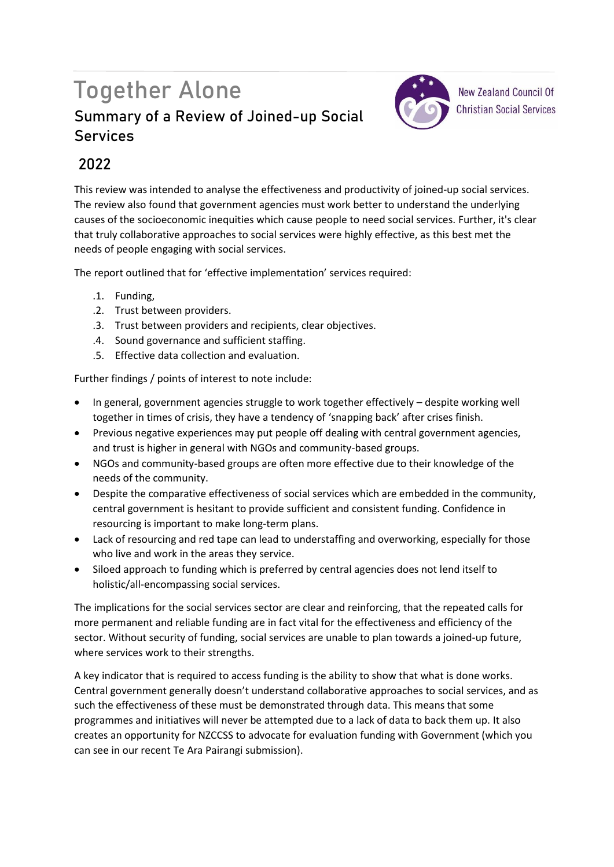## Together Alone **Summary of a Review of Joined-up Social Services**



**New Zealand Council Of Christian Social Services** 

## **2022**

This review was intended to analyse the effectiveness and productivity of joined-up social services. The review also found that government agencies must work better to understand the underlying causes of the socioeconomic inequities which cause people to need social services. Further, it's clear that truly collaborative approaches to social services were highly effective, as this best met the needs of people engaging with social services.

The report outlined that for 'effective implementation' services required:

- .1. Funding,
- .2. Trust between providers.
- .3. Trust between providers and recipients, clear objectives.
- .4. Sound governance and sufficient staffing.
- .5. Effective data collection and evaluation.

Further findings / points of interest to note include:

- In general, government agencies struggle to work together effectively despite working well together in times of crisis, they have a tendency of 'snapping back' after crises finish.
- Previous negative experiences may put people off dealing with central government agencies, and trust is higher in general with NGOs and community-based groups.
- NGOs and community-based groups are often more effective due to their knowledge of the needs of the community.
- Despite the comparative effectiveness of social services which are embedded in the community, central government is hesitant to provide sufficient and consistent funding. Confidence in resourcing is important to make long-term plans.
- Lack of resourcing and red tape can lead to understaffing and overworking, especially for those who live and work in the areas they service.
- Siloed approach to funding which is preferred by central agencies does not lend itself to holistic/all-encompassing social services.

The implications for the social services sector are clear and reinforcing, that the repeated calls for more permanent and reliable funding are in fact vital for the effectiveness and efficiency of the sector. Without security of funding, social services are unable to plan towards a joined-up future, where services work to their strengths.

A key indicator that is required to access funding is the ability to show that what is done works. Central government generally doesn't understand collaborative approaches to social services, and as such the effectiveness of these must be demonstrated through data. This means that some programmes and initiatives will never be attempted due to a lack of data to back them up. It also creates an opportunity for NZCCSS to advocate for evaluation funding with Government (which you can see in our recent Te Ara Pairangi submission).